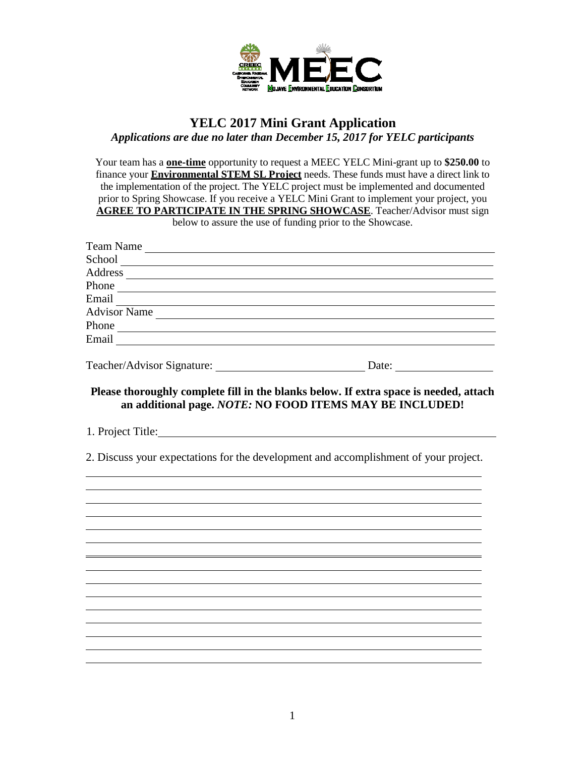

## **YELC 2017 Mini Grant Application** *Applications are due no later than December 15, 2017 for YELC participants*

Your team has a **one-time** opportunity to request a MEEC YELC Mini-grant up to **\$250.00** to finance your **Environmental STEM SL Project** needs. These funds must have a direct link to the implementation of the project. The YELC project must be implemented and documented prior to Spring Showcase. If you receive a YELC Mini Grant to implement your project, you **AGREE TO PARTICIPATE IN THE SPRING SHOWCASE**. Teacher/Advisor must sign below to assure the use of funding prior to the Showcase.

| Team Name                                                                                                                                                                                                                           |                                                                                                                                                   |
|-------------------------------------------------------------------------------------------------------------------------------------------------------------------------------------------------------------------------------------|---------------------------------------------------------------------------------------------------------------------------------------------------|
| School and the state of the state of the state of the state of the state of the state of the state of the state of the state of the state of the state of the state of the state of the state of the state of the state of the      |                                                                                                                                                   |
|                                                                                                                                                                                                                                     |                                                                                                                                                   |
|                                                                                                                                                                                                                                     |                                                                                                                                                   |
|                                                                                                                                                                                                                                     |                                                                                                                                                   |
| Advisor Name                                                                                                                                                                                                                        |                                                                                                                                                   |
|                                                                                                                                                                                                                                     |                                                                                                                                                   |
| Email <b>Exercise Service Service Service Service</b> Service Service Service Service Service Service Service Service Service Service Service Service Service Service Service Service Service Service Service Service Service Servi |                                                                                                                                                   |
|                                                                                                                                                                                                                                     |                                                                                                                                                   |
|                                                                                                                                                                                                                                     | Please thoroughly complete fill in the blanks below. If extra space is needed, attach<br>an additional page. NOTE: NO FOOD ITEMS MAY BE INCLUDED! |
| 1. Project Title:                                                                                                                                                                                                                   |                                                                                                                                                   |
| 2. Discuss your expectations for the development and accomplishment of your project.                                                                                                                                                |                                                                                                                                                   |
|                                                                                                                                                                                                                                     |                                                                                                                                                   |
|                                                                                                                                                                                                                                     |                                                                                                                                                   |
|                                                                                                                                                                                                                                     |                                                                                                                                                   |
|                                                                                                                                                                                                                                     |                                                                                                                                                   |
|                                                                                                                                                                                                                                     |                                                                                                                                                   |
|                                                                                                                                                                                                                                     |                                                                                                                                                   |
|                                                                                                                                                                                                                                     |                                                                                                                                                   |
|                                                                                                                                                                                                                                     |                                                                                                                                                   |
|                                                                                                                                                                                                                                     |                                                                                                                                                   |
|                                                                                                                                                                                                                                     |                                                                                                                                                   |
|                                                                                                                                                                                                                                     |                                                                                                                                                   |
|                                                                                                                                                                                                                                     |                                                                                                                                                   |
|                                                                                                                                                                                                                                     |                                                                                                                                                   |
|                                                                                                                                                                                                                                     |                                                                                                                                                   |